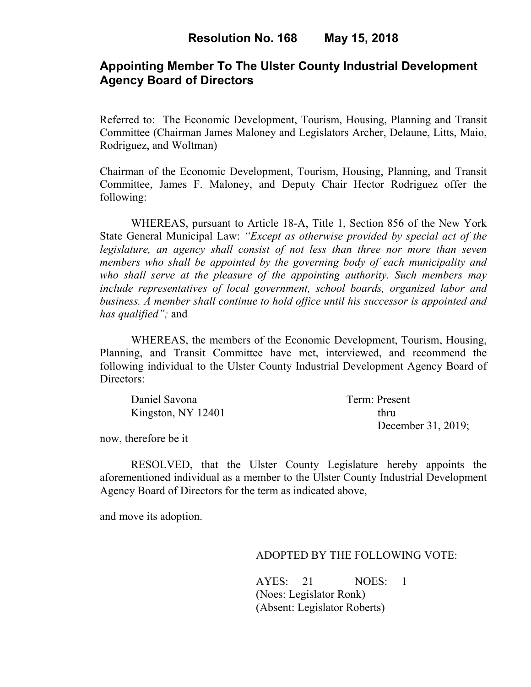## **Appointing Member To The Ulster County Industrial Development Agency Board of Directors**

Referred to: The Economic Development, Tourism, Housing, Planning and Transit Committee (Chairman James Maloney and Legislators Archer, Delaune, Litts, Maio, Rodriguez, and Woltman)

Chairman of the Economic Development, Tourism, Housing, Planning, and Transit Committee, James F. Maloney, and Deputy Chair Hector Rodriguez offer the following:

WHEREAS, pursuant to Article 18-A, Title 1, Section 856 of the New York State General Municipal Law: *"Except as otherwise provided by special act of the legislature, an agency shall consist of not less than three nor more than seven members who shall be appointed by the governing body of each municipality and who shall serve at the pleasure of the appointing authority. Such members may include representatives of local government, school boards, organized labor and business. A member shall continue to hold office until his successor is appointed and has qualified";* and

WHEREAS, the members of the Economic Development, Tourism, Housing, Planning, and Transit Committee have met, interviewed, and recommend the following individual to the Ulster County Industrial Development Agency Board of Directors:

| Daniel Savona      | Term: Present      |
|--------------------|--------------------|
| Kingston, NY 12401 | thru               |
|                    | December 31, 2019; |

now, therefore be it

RESOLVED, that the Ulster County Legislature hereby appoints the aforementioned individual as a member to the Ulster County Industrial Development Agency Board of Directors for the term as indicated above,

and move its adoption.

#### ADOPTED BY THE FOLLOWING VOTE:

AYES: 21 NOES: 1 (Noes: Legislator Ronk) (Absent: Legislator Roberts)